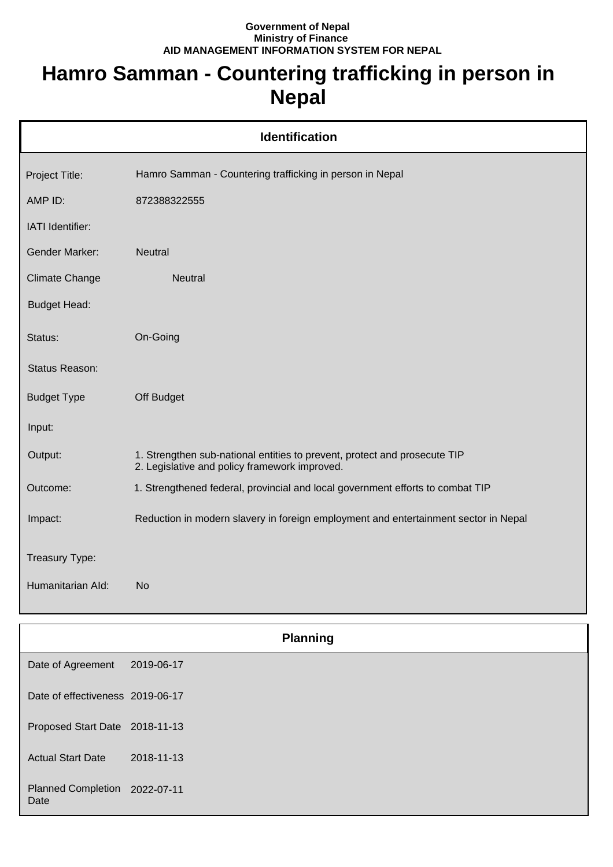## **Government of Nepal Ministry of Finance AID MANAGEMENT INFORMATION SYSTEM FOR NEPAL**

## **Hamro Samman - Countering trafficking in person in Nepal**

| <b>Identification</b> |                                                                                                                            |  |
|-----------------------|----------------------------------------------------------------------------------------------------------------------------|--|
| Project Title:        | Hamro Samman - Countering trafficking in person in Nepal                                                                   |  |
| AMP ID:               | 872388322555                                                                                                               |  |
| IATI Identifier:      |                                                                                                                            |  |
| <b>Gender Marker:</b> | <b>Neutral</b>                                                                                                             |  |
| Climate Change        | <b>Neutral</b>                                                                                                             |  |
| <b>Budget Head:</b>   |                                                                                                                            |  |
| Status:               | On-Going                                                                                                                   |  |
| Status Reason:        |                                                                                                                            |  |
| <b>Budget Type</b>    | Off Budget                                                                                                                 |  |
| Input:                |                                                                                                                            |  |
| Output:               | 1. Strengthen sub-national entities to prevent, protect and prosecute TIP<br>2. Legislative and policy framework improved. |  |
| Outcome:              | 1. Strengthened federal, provincial and local government efforts to combat TIP                                             |  |
| Impact:               | Reduction in modern slavery in foreign employment and entertainment sector in Nepal                                        |  |
| Treasury Type:        |                                                                                                                            |  |
| Humanitarian Ald:     | <b>No</b>                                                                                                                  |  |

|                                       | <b>Planning</b> |  |
|---------------------------------------|-----------------|--|
| Date of Agreement                     | 2019-06-17      |  |
| Date of effectiveness 2019-06-17      |                 |  |
| Proposed Start Date 2018-11-13        |                 |  |
| <b>Actual Start Date</b>              | 2018-11-13      |  |
| Planned Completion 2022-07-11<br>Date |                 |  |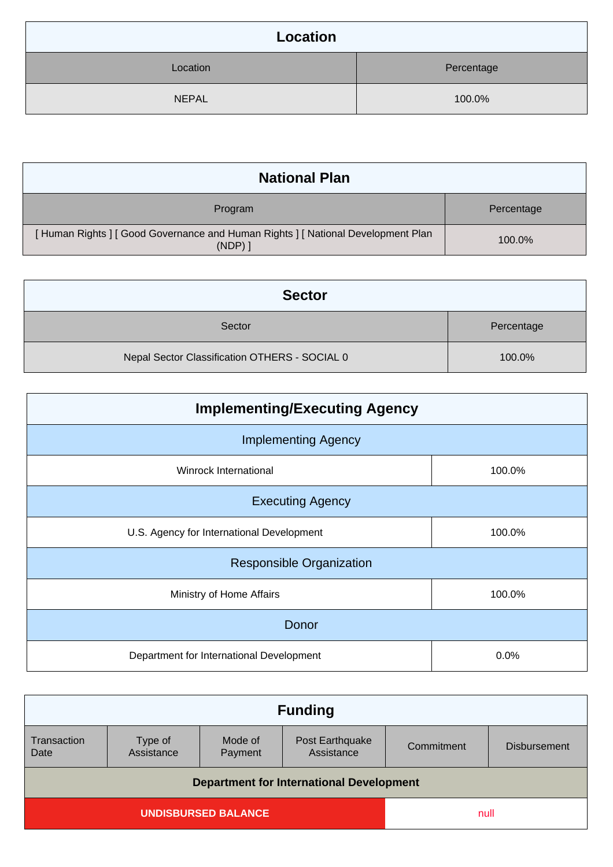| Location     |            |
|--------------|------------|
| Location     | Percentage |
| <b>NEPAL</b> | 100.0%     |

| <b>National Plan</b>                                                                  |            |
|---------------------------------------------------------------------------------------|------------|
| Program                                                                               | Percentage |
| [Human Rights] [Good Governance and Human Rights] [National Development Plan<br>(NDP) | 100.0%     |

| <b>Sector</b>                                 |            |
|-----------------------------------------------|------------|
| Sector                                        | Percentage |
| Nepal Sector Classification OTHERS - SOCIAL 0 | 100.0%     |

| <b>Implementing/Executing Agency</b>      |        |  |
|-------------------------------------------|--------|--|
| <b>Implementing Agency</b>                |        |  |
| Winrock International                     | 100.0% |  |
| <b>Executing Agency</b>                   |        |  |
| U.S. Agency for International Development | 100.0% |  |
| <b>Responsible Organization</b>           |        |  |
| Ministry of Home Affairs                  | 100.0% |  |
| Donor                                     |        |  |
| Department for International Development  | 0.0%   |  |

| <b>Funding</b>                                  |                    |                               |            |                     |
|-------------------------------------------------|--------------------|-------------------------------|------------|---------------------|
| Type of<br>Assistance                           | Mode of<br>Payment | Post Earthquake<br>Assistance | Commitment | <b>Disbursement</b> |
| <b>Department for International Development</b> |                    |                               |            |                     |
| UNDISBURSED BALANCE                             |                    |                               | null       |                     |
|                                                 |                    |                               |            |                     |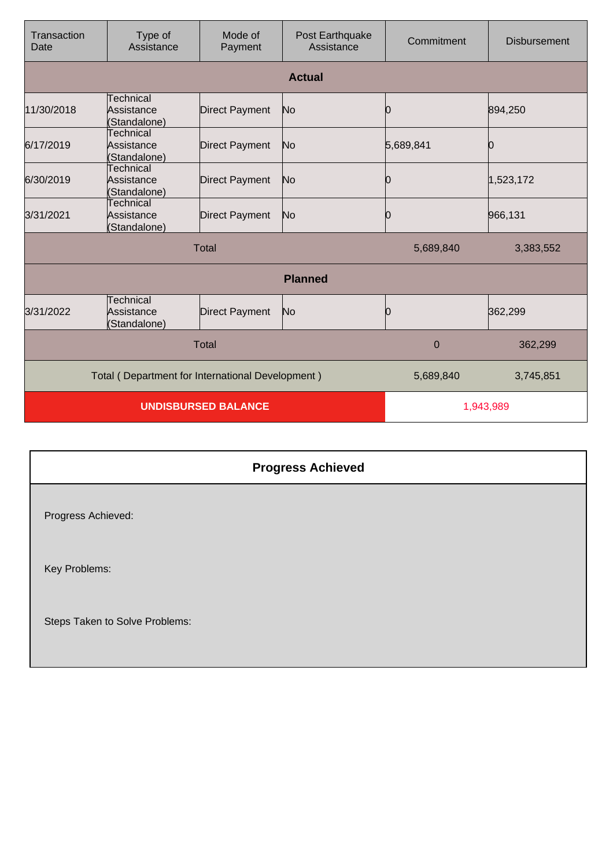| Transaction<br>Date        | Type of<br>Assistance                            | Mode of<br>Payment    | Post Earthquake<br>Assistance | Commitment  | <b>Disbursement</b> |
|----------------------------|--------------------------------------------------|-----------------------|-------------------------------|-------------|---------------------|
|                            |                                                  |                       | <b>Actual</b>                 |             |                     |
| 11/30/2018                 | Technical<br>Assistance<br>(Standalone)          | <b>Direct Payment</b> | No                            | Ŋ           | 894,250             |
| 6/17/2019                  | <b>Technical</b><br>Assistance<br>(Standalone)   | <b>Direct Payment</b> | No                            | 5,689,841   |                     |
| 6/30/2019                  | Technical<br>Assistance<br>(Standalone)          | <b>Direct Payment</b> | No                            | Ю           | 1,523,172           |
| 3/31/2021                  | Technical<br>Assistance<br>(Standalone)          | <b>Direct Payment</b> | No                            |             | 966,131             |
| <b>Total</b>               |                                                  |                       | 5,689,840                     | 3,383,552   |                     |
|                            |                                                  |                       | <b>Planned</b>                |             |                     |
| 3/31/2022                  | Technical<br>Assistance<br>(Standalone)          | <b>Direct Payment</b> | No                            | O           | 362,299             |
|                            |                                                  | <b>Total</b>          |                               | $\mathbf 0$ | 362,299             |
|                            | Total (Department for International Development) |                       |                               | 5,689,840   | 3,745,851           |
| <b>UNDISBURSED BALANCE</b> |                                                  |                       | 1,943,989                     |             |                     |

|                                | <b>Progress Achieved</b> |
|--------------------------------|--------------------------|
| Progress Achieved:             |                          |
| Key Problems:                  |                          |
| Steps Taken to Solve Problems: |                          |